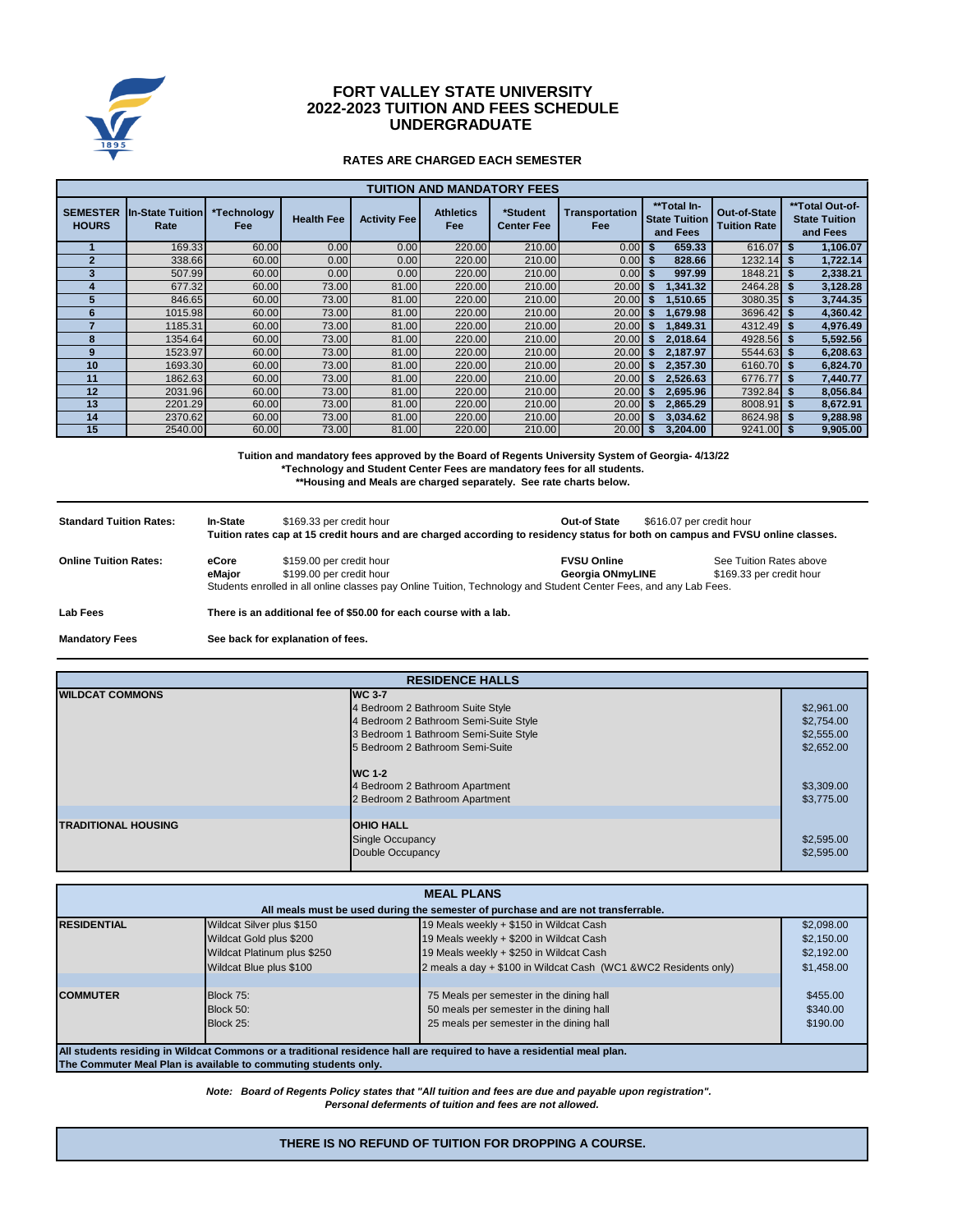

# **FORT VALLEY STATE UNIVERSITY UNDERGRADUATE 2022-2023 TUITION AND FEES SCHEDULE**

### **RATES ARE CHARGED EACH SEMESTER**

| <b>TUITION AND MANDATORY FEES</b> |                                 |                           |                   |                     |                                |                               |                                     |                                                 |                                     |                                                     |
|-----------------------------------|---------------------------------|---------------------------|-------------------|---------------------|--------------------------------|-------------------------------|-------------------------------------|-------------------------------------------------|-------------------------------------|-----------------------------------------------------|
| <b>SEMESTER</b><br><b>HOURS</b>   | <b>In-State Tuition</b><br>Rate | *Technology<br><b>Fee</b> | <b>Health Fee</b> | <b>Activity Fee</b> | <b>Athletics</b><br><b>Fee</b> | *Student<br><b>Center Fee</b> | <b>Transportation</b><br><b>Fee</b> | **Total In-<br><b>State Tuition</b><br>and Fees | Out-of-State<br><b>Tuition Rate</b> | **Total Out-of-<br><b>State Tuition</b><br>and Fees |
|                                   | 169.33                          | 60.00                     | 0.00              | 0.00                | 220.00                         | 210.00                        | 0.00                                | 659.33<br>\$.                                   | 616.07                              | 1,106.07                                            |
|                                   | 338.66                          | 60.00                     | 0.00              | 0.00                | 220.00                         | 210.00                        | 0.00                                | 828.66                                          | 1232.14                             | 1,722.14                                            |
|                                   | 507.99                          | 60.00                     | 0.00              | 0.00                | 220.00                         | 210.00                        | 0.00                                | 997.99                                          | 1848.21                             | 2,338.21                                            |
|                                   | 677.32                          | 60.00                     | 73.00             | 81.00               | 220.00                         | 210.00                        | 20.00                               | .341.32                                         | $2464.28$ \$                        | 3,128.28                                            |
| 5                                 | 846.65                          | 60.00                     | 73.00             | 81.00               | 220.00                         | 210.00                        | 20.00                               | 1,510.65                                        | 3080.35 \$                          | 3,744.35                                            |
| 6                                 | 1015.98                         | 60.00                     | 73.00             | 81.00               | 220.00                         | 210.00                        | 20.00                               | 1.679.98<br>S                                   | $3696.42$ \$                        | 4,360.42                                            |
|                                   | 1185.31                         | 60.00                     | 73.00             | 81.00               | 220.00                         | 210.00                        | 20.00                               | 1.849.31                                        | $4312.49$ \$                        | 4,976.49                                            |
| 8                                 | 1354.64                         | 60.00                     | 73.00             | 81.00               | 220.00                         | 210.00                        | 20.00                               | 2,018.64                                        | 4928.56 \$                          | 5,592.56                                            |
| 9                                 | 1523.97                         | 60.00                     | 73.00             | 81.00               | 220.00                         | 210.00                        | 20.00                               | 2.187.97                                        | $5544.63$ \$                        | 6,208.63                                            |
| 10                                | 1693.30                         | 60.00                     | 73.00             | 81.00               | 220.00                         | 210.00                        | 20.00                               | 2,357.30                                        | 6160.70 \$                          | 6,824.70                                            |
| 11                                | 1862.63                         | 60.00                     | 73.00             | 81.00               | 220.00                         | 210.00                        | 20.00                               | 2,526.63                                        | 6776.77 \$                          | 7,440.77                                            |
| 12                                | 2031.96                         | 60.00                     | 73.00             | 81.00               | 220.00                         | 210.00                        | 20.00                               | 2,695.96                                        | 7392.84 \$                          | 8,056.84                                            |
| 13                                | 2201.29                         | 60.00                     | 73.00             | 81.00               | 220.00                         | 210.00                        | 20.00                               | 2,865.29                                        | 8008.91 \$                          | 8,672.91                                            |
| 14                                | 2370.62                         | 60.00                     | 73.00             | 81.00               | 220.00                         | 210.00                        | 20.00                               | 3,034.62                                        | 8624.98 \$                          | 9,288.98                                            |
| 15                                | 2540.00                         | 60.00                     | 73.00             | 81.00               | 220.00                         | 210.00                        | 20.00                               | 3,204.00                                        | $9241.00$ \$                        | 9,905.00                                            |

**\*Technology and Student Center Fees are mandatory fees for all students. Tuition and mandatory fees approved by the Board of Regents University System of Georgia- 4/13/22 \*\*Housing and Meals are charged separately. See rate charts below.**

| <b>Standard Tuition Rates:</b> | <b>In-State</b>                   | \$169.33 per credit hour                                          | Out-of State<br>Tuition rates cap at 15 credit hours and are charged according to residency status for both on campus and FVSU online classes.              | \$616.07 per credit hour                            |  |
|--------------------------------|-----------------------------------|-------------------------------------------------------------------|-------------------------------------------------------------------------------------------------------------------------------------------------------------|-----------------------------------------------------|--|
| <b>Online Tuition Rates:</b>   | eCore<br>eMaior                   | \$159.00 per credit hour<br>\$199.00 per credit hour              | <b>FVSU Online</b><br>Georgia ONmyLINE<br>Students enrolled in all online classes pay Online Tuition, Technology and Student Center Fees, and any Lab Fees. | See Tuition Rates above<br>\$169.33 per credit hour |  |
| Lab Fees                       |                                   | There is an additional fee of \$50.00 for each course with a lab. |                                                                                                                                                             |                                                     |  |
| <b>Mandatory Fees</b>          | See back for explanation of fees. |                                                                   |                                                                                                                                                             |                                                     |  |

| <b>RESIDENCE HALLS</b>     |                                       |            |  |  |
|----------------------------|---------------------------------------|------------|--|--|
| <b>WILDCAT COMMONS</b>     | <b>WC 3-7</b>                         |            |  |  |
|                            | 4 Bedroom 2 Bathroom Suite Style      | \$2,961.00 |  |  |
|                            | 4 Bedroom 2 Bathroom Semi-Suite Style | \$2,754.00 |  |  |
|                            | 3 Bedroom 1 Bathroom Semi-Suite Style | \$2,555.00 |  |  |
|                            | 5 Bedroom 2 Bathroom Semi-Suite       | \$2,652.00 |  |  |
|                            | <b>WC 1-2</b>                         |            |  |  |
|                            | 4 Bedroom 2 Bathroom Apartment        | \$3,309.00 |  |  |
|                            | 2 Bedroom 2 Bathroom Apartment        | \$3,775.00 |  |  |
|                            |                                       |            |  |  |
| <b>TRADITIONAL HOUSING</b> | <b>OHIO HALL</b>                      |            |  |  |
|                            | Single Occupancy                      | \$2,595.00 |  |  |
|                            | Double Occupancy                      | \$2,595.00 |  |  |
|                            |                                       |            |  |  |

| <b>MEAL PLANS</b>                                                                                                      |                                                                 |                                                                  |            |  |  |
|------------------------------------------------------------------------------------------------------------------------|-----------------------------------------------------------------|------------------------------------------------------------------|------------|--|--|
| All meals must be used during the semester of purchase and are not transferrable.                                      |                                                                 |                                                                  |            |  |  |
| <b>RESIDENTIAL</b>                                                                                                     | Wildcat Silver plus \$150                                       | 19 Meals weekly + \$150 in Wildcat Cash                          | \$2,098.00 |  |  |
|                                                                                                                        | Wildcat Gold plus \$200                                         | 19 Meals weekly + \$200 in Wildcat Cash                          | \$2,150.00 |  |  |
|                                                                                                                        | Wildcat Platinum plus \$250                                     | 19 Meals weekly + \$250 in Wildcat Cash                          | \$2,192.00 |  |  |
|                                                                                                                        | Wildcat Blue plus \$100                                         | 2 meals a day + \$100 in Wildcat Cash (WC1 & WC2 Residents only) | \$1,458.00 |  |  |
|                                                                                                                        |                                                                 |                                                                  |            |  |  |
| <b>COMMUTER</b>                                                                                                        | Block 75:                                                       | 75 Meals per semester in the dining hall                         | \$455.00   |  |  |
|                                                                                                                        | Block 50:                                                       | 50 meals per semester in the dining hall                         | \$340.00   |  |  |
|                                                                                                                        | Block 25:                                                       | 25 meals per semester in the dining hall                         | \$190.00   |  |  |
|                                                                                                                        |                                                                 |                                                                  |            |  |  |
| All students residing in Wildcat Commons or a traditional residence hall are required to have a residential meal plan. |                                                                 |                                                                  |            |  |  |
|                                                                                                                        | The Commuter Meal Plan is available to commuting students only. |                                                                  |            |  |  |

*Personal deferments of tuition and fees are not allowed. Note: Board of Regents Policy states that "All tuition and fees are due and payable upon registration".* 

**THERE IS NO REFUND OF TUITION FOR DROPPING A COURSE.**